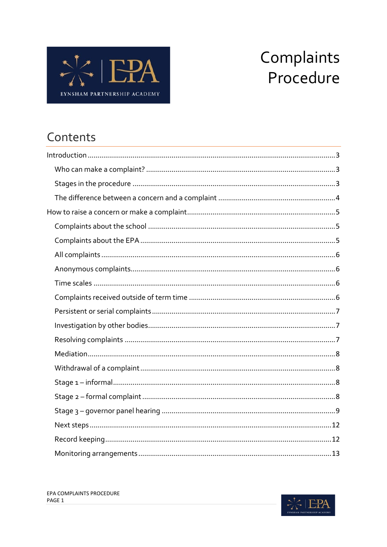

# Complaints Procedure

# Contents

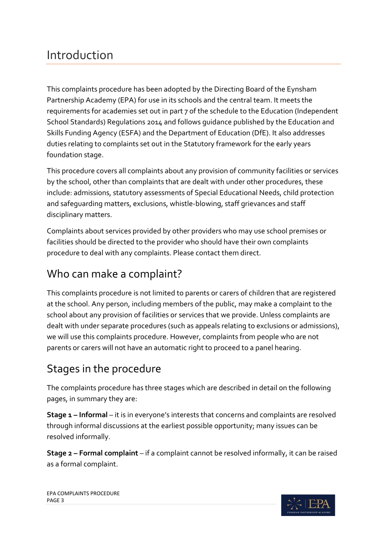# <span id="page-2-0"></span>Introduction

This complaints procedure has been adopted by the Directing Board of the Eynsham Partnership Academy (EPA) for use in its schools and the central team. It meets the requirements for academies set out in part 7 of the schedule to the Education (Independent School Standards) Regulations 2014 and follows guidance published by the Education and Skills Funding Agency (ESFA) and the Department of Education (DfE). It also addresses duties relating to complaints set out in the Statutory framework for the early years foundation stage.

This procedure covers all complaints about any provision of community facilities or services by the school, other than complaints that are dealt with under other procedures, these include: admissions, statutory assessments of Special Educational Needs, child protection and safeguarding matters, exclusions, whistle-blowing, staff grievances and staff disciplinary matters.

Complaints about services provided by other providers who may use school premises or facilities should be directed to the provider who should have their own complaints procedure to deal with any complaints. Please contact them direct.

### <span id="page-2-1"></span>Who can make a complaint?

This complaints procedure is not limited to parents or carers of children that are registered at the school. Any person, including members of the public, may make a complaint to the school about any provision of facilities or services that we provide. Unless complaints are dealt with under separate procedures (such as appeals relating to exclusions or admissions), we will use this complaints procedure. However, complaints from people who are not parents or carers will not have an automatic right to proceed to a panel hearing.

# <span id="page-2-2"></span>Stages in the procedure

The complaints procedure has three stages which are described in detail on the following pages, in summary they are:

**Stage 1 – Informal** – it is in everyone's interests that concerns and complaints are resolved through informal discussions at the earliest possible opportunity; many issues can be resolved informally.

**Stage 2 – Formal complaint** – if a complaint cannot be resolved informally, it can be raised as a formal complaint.

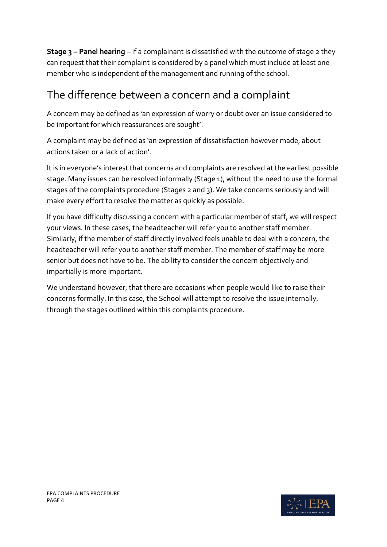**Stage 3 – Panel hearing** – if a complainant is dissatisfied with the outcome of stage 2 they can request that their complaint is considered by a panel which must include at least one member who is independent of the management and running of the school.

#### <span id="page-3-0"></span>The difference between a concern and a complaint

A concern may be defined as 'an expression of worry or doubt over an issue considered to be important for which reassurances are sought'.

A complaint may be defined as 'an expression of dissatisfaction however made, about actions taken or a lack of action'.

It is in everyone's interest that concerns and complaints are resolved at the earliest possible stage. Many issues can be resolved informally (Stage 1), without the need to use the formal stages of the complaints procedure (Stages 2 and 3). We take concerns seriously and will make every effort to resolve the matter as quickly as possible.

If you have difficulty discussing a concern with a particular member of staff, we will respect your views. In these cases, the headteacher will refer you to another staff member. Similarly, if the member of staff directly involved feels unable to deal with a concern, the headteacher will refer you to another staff member. The member of staff may be more senior but does not have to be. The ability to consider the concern objectively and impartially is more important.

We understand however, that there are occasions when people would like to raise their concerns formally. In this case, the School will attempt to resolve the issue internally, through the stages outlined within this complaints procedure.

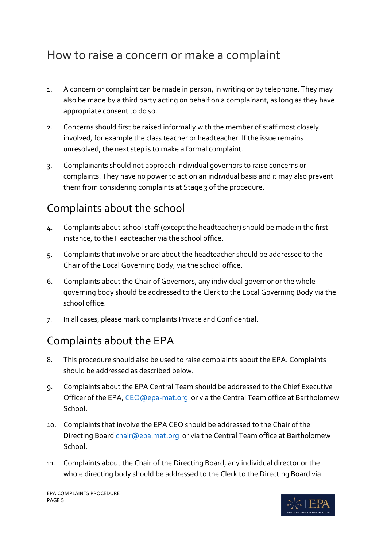- <span id="page-4-0"></span>1. A concern or complaint can be made in person, in writing or by telephone. They may also be made by a third party acting on behalf on a complainant, as long as they have appropriate consent to do so.
- 2. Concerns should first be raised informally with the member of staff most closely involved, for example the class teacher or headteacher. If the issue remains unresolved, the next step is to make a formal complaint.
- 3. Complainants should not approach individual governors to raise concerns or complaints. They have no power to act on an individual basis and it may also prevent them from considering complaints at Stage 3 of the procedure.

# <span id="page-4-1"></span>Complaints about the school

- 4. Complaints about school staff (except the headteacher) should be made in the first instance, to the Headteacher via the school office.
- 5. Complaints that involve or are about the headteacher should be addressed to the Chair of the Local Governing Body, via the school office.
- 6. Complaints about the Chair of Governors, any individual governor or the whole governing body should be addressed to the Clerk to the Local Governing Body via the school office.
- 7. In all cases, please mark complaints Private and Confidential.

### <span id="page-4-2"></span>Complaints about the EPA

- 8. This procedure should also be used to raise complaints about the EPA. Complaints should be addressed as described below.
- 9. Complaints about the EPA Central Team should be addressed to the Chief Executive Officer of the EPA[, CEO@epa-mat.org](mailto:CEO@epa-mat.org) or via the Central Team office at Bartholomew School.
- 10. Complaints that involve the EPA CEO should be addressed to the Chair of the Directing Board [chair@epa.mat.org](mailto:chair@epa.mat.org) or via the Central Team office at Bartholomew School.
- 11. Complaints about the Chair of the Directing Board, any individual director or the whole directing body should be addressed to the Clerk to the Directing Board via

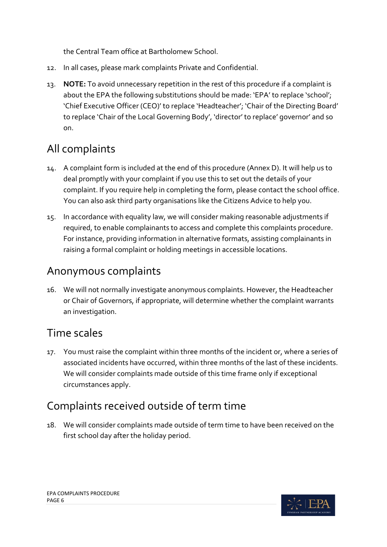the Central Team office at Bartholomew School.

- 12. In all cases, please mark complaints Private and Confidential.
- 13. **NOTE:** To avoid unnecessary repetition in the rest of this procedure if a complaint is about the EPA the following substitutions should be made: 'EPA' to replace 'school'; 'Chief Executive Officer (CEO)' to replace 'Headteacher'; 'Chair of the Directing Board' to replace 'Chair of the Local Governing Body', 'director' to replace' governor' and so on.

# <span id="page-5-0"></span>All complaints

- 14. A complaint form is included at the end of this procedure (Annex D). It will help us to deal promptly with your complaint if you use this to set out the details of your complaint. If you require help in completing the form, please contact the school office. You can also ask third party organisations like the Citizens Advice to help you.
- 15. In accordance with equality law, we will consider making reasonable adjustments if required, to enable complainants to access and complete this complaints procedure. For instance, providing information in alternative formats, assisting complainants in raising a formal complaint or holding meetings in accessible locations.

### <span id="page-5-1"></span>Anonymous complaints

16. We will not normally investigate anonymous complaints. However, the Headteacher or Chair of Governors, if appropriate, will determine whether the complaint warrants an investigation.

# <span id="page-5-2"></span>Time scales

17. You must raise the complaint within three months of the incident or, where a series of associated incidents have occurred, within three months of the last of these incidents. We will consider complaints made outside of this time frame only if exceptional circumstances apply.

# <span id="page-5-3"></span>Complaints received outside of term time

18. We will consider complaints made outside of term time to have been received on the first school day after the holiday period.

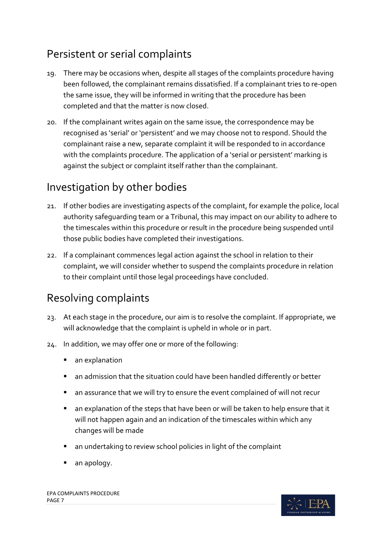### <span id="page-6-0"></span>Persistent or serial complaints

- 19. There may be occasions when, despite all stages of the complaints procedure having been followed, the complainant remains dissatisfied. If a complainant tries to re-open the same issue, they will be informed in writing that the procedure has been completed and that the matter is now closed.
- 20. If the complainant writes again on the same issue, the correspondence may be recognised as 'serial' or 'persistent' and we may choose not to respond. Should the complainant raise a new, separate complaint it will be responded to in accordance with the complaints procedure. The application of a 'serial or persistent' marking is against the subject or complaint itself rather than the complainant.

### <span id="page-6-1"></span>Investigation by other bodies

- 21. If other bodies are investigating aspects of the complaint, for example the police, local authority safeguarding team or a Tribunal, this may impact on our ability to adhere to the timescales within this procedure or result in the procedure being suspended until those public bodies have completed their investigations.
- 22. If a complainant commences legal action against the school in relation to their complaint, we will consider whether to suspend the complaints procedure in relation to their complaint until those legal proceedings have concluded.

# <span id="page-6-2"></span>Resolving complaints

- 23. At each stage in the procedure, our aim is to resolve the complaint. If appropriate, we will acknowledge that the complaint is upheld in whole or in part.
- 24. In addition, we may offer one or more of the following:
	- **an explanation**
	- an admission that the situation could have been handled differently or better
	- an assurance that we will try to ensure the event complained of will not recur
	- an explanation of the steps that have been or will be taken to help ensure that it will not happen again and an indication of the timescales within which any changes will be made
	- an undertaking to review school policies in light of the complaint
	- an apology.

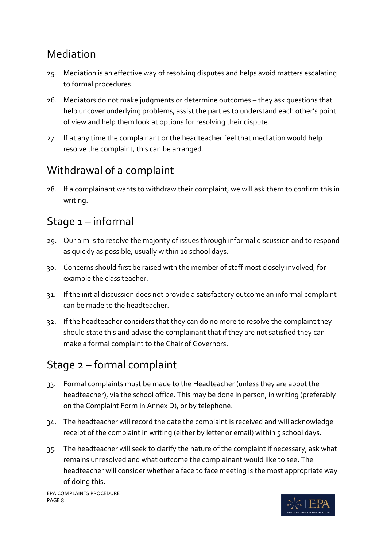### <span id="page-7-0"></span>Mediation

- 25. Mediation is an effective way of resolving disputes and helps avoid matters escalating to formal procedures.
- 26. Mediators do not make judgments or determine outcomes they ask questions that help uncover underlying problems, assist the parties to understand each other's point of view and help them look at options for resolving their dispute.
- 27. If at any time the complainant or the headteacher feel that mediation would help resolve the complaint, this can be arranged.

### <span id="page-7-1"></span>Withdrawal of a complaint

28. If a complainant wants to withdraw their complaint, we will ask them to confirm this in writing.

#### <span id="page-7-2"></span>Stage 1 – informal

- 29. Our aim is to resolve the majority of issues through informal discussion and to respond as quickly as possible, usually within 10 school days.
- 30. Concerns should first be raised with the member of staff most closely involved, for example the class teacher.
- 31. If the initial discussion does not provide a satisfactory outcome an informal complaint can be made to the headteacher.
- 32. If the headteacher considers that they can do no more to resolve the complaint they should state this and advise the complainant that if they are not satisfied they can make a formal complaint to the Chair of Governors.

# <span id="page-7-3"></span>Stage 2 – formal complaint

- 33. Formal complaints must be made to the Headteacher (unless they are about the headteacher), via the school office. This may be done in person, in writing (preferably on the Complaint Form in Annex D), or by telephone.
- 34. The headteacher will record the date the complaint is received and will acknowledge receipt of the complaint in writing (either by letter or email) within 5 school days.
- 35. The headteacher will seek to clarify the nature of the complaint if necessary, ask what remains unresolved and what outcome the complainant would like to see. The headteacher will consider whether a face to face meeting is the most appropriate way of doing this.

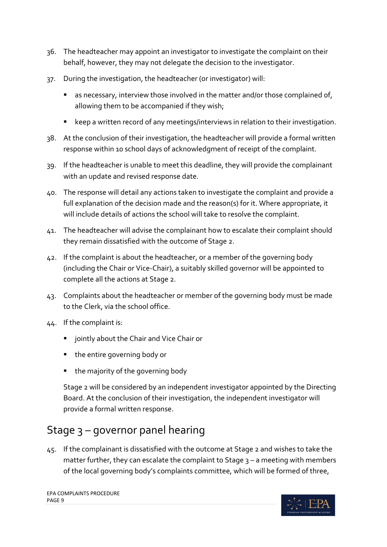- 36. The headteacher may appoint an investigator to investigate the complaint on their behalf, however, they may not delegate the decision to the investigator.
- 37. During the investigation, the headteacher (or investigator) will:
	- **E** as necessary, interview those involved in the matter and/or those complained of, allowing them to be accompanied if they wish;
	- keep a written record of any meetings/interviews in relation to their investigation.
- 38. At the conclusion of their investigation, the headteacher will provide a formal written response within 10 school days of acknowledgment of receipt of the complaint.
- 39. If the headteacher is unable to meet this deadline, they will provide the complainant with an update and revised response date.
- 40. The response will detail any actions taken to investigate the complaint and provide a full explanation of the decision made and the reason(s) for it. Where appropriate, it will include details of actions the school will take to resolve the complaint.
- 41. The headteacher will advise the complainant how to escalate their complaint should they remain dissatisfied with the outcome of Stage 2.
- 42. If the complaint is about the headteacher, or a member of the governing body (including the Chair or Vice-Chair), a suitably skilled governor will be appointed to complete all the actions at Stage 2.
- 43. Complaints about the headteacher or member of the governing body must be made to the Clerk, via the school office.
- 44. If the complaint is:
	- **E** jointly about the Chair and Vice Chair or
	- the entire governing body or
	- the majority of the governing body

Stage 2 will be considered by an independent investigator appointed by the Directing Board. At the conclusion of their investigation, the independent investigator will provide a formal written response.

# <span id="page-8-0"></span>Stage 3 – governor panel hearing

45. If the complainant is dissatisfied with the outcome at Stage 2 and wishes to take the matter further, they can escalate the complaint to Stage  $3 - a$  meeting with members of the local governing body's complaints committee, which will be formed of three,

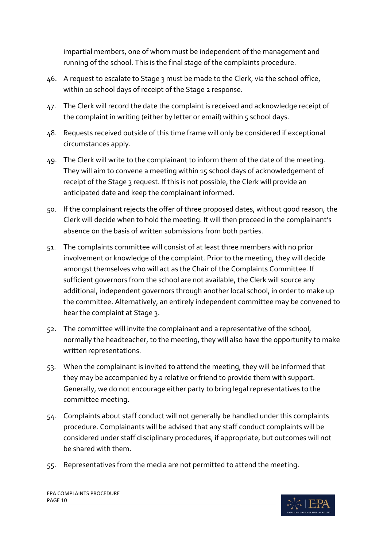impartial members, one of whom must be independent of the management and running of the school. This is the final stage of the complaints procedure.

- 46. A request to escalate to Stage 3 must be made to the Clerk, via the school office, within 10 school days of receipt of the Stage 2 response.
- 47. The Clerk will record the date the complaint is received and acknowledge receipt of the complaint in writing (either by letter or email) within 5 school days.
- 48. Requests received outside of this time frame will only be considered if exceptional circumstances apply.
- 49. The Clerk will write to the complainant to inform them of the date of the meeting. They will aim to convene a meeting within 15 school days of acknowledgement of receipt of the Stage 3 request. If this is not possible, the Clerk will provide an anticipated date and keep the complainant informed.
- 50. If the complainant rejects the offer of three proposed dates, without good reason, the Clerk will decide when to hold the meeting. It will then proceed in the complainant's absence on the basis of written submissions from both parties.
- 51. The complaints committee will consist of at least three members with no prior involvement or knowledge of the complaint. Prior to the meeting, they will decide amongst themselves who will act as the Chair of the Complaints Committee. If sufficient governors from the school are not available, the Clerk will source any additional, independent governors through another local school, in order to make up the committee. Alternatively, an entirely independent committee may be convened to hear the complaint at Stage 3.
- 52. The committee will invite the complainant and a representative of the school, normally the headteacher, to the meeting, they will also have the opportunity to make written representations.
- 53. When the complainant is invited to attend the meeting, they will be informed that they may be accompanied by a relative or friend to provide them with support. Generally, we do not encourage either party to bring legal representatives to the committee meeting.
- 54. Complaints about staff conduct will not generally be handled under this complaints procedure. Complainants will be advised that any staff conduct complaints will be considered under staff disciplinary procedures, if appropriate, but outcomes will not be shared with them.
- 55. Representatives from the media are not permitted to attend the meeting.

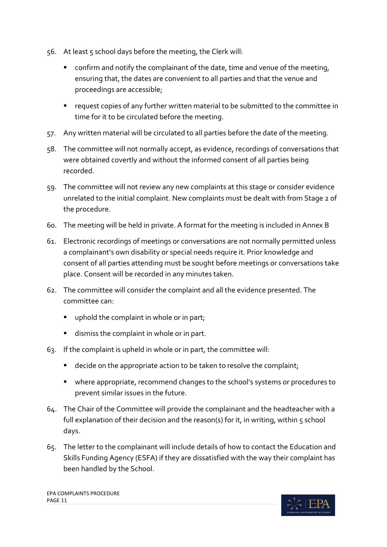- 56. At least 5 school days before the meeting, the Clerk will:
	- confirm and notify the complainant of the date, time and venue of the meeting, ensuring that, the dates are convenient to all parties and that the venue and proceedings are accessible;
	- request copies of any further written material to be submitted to the committee in time for it to be circulated before the meeting.
- 57. Any written material will be circulated to all parties before the date of the meeting.
- 58. The committee will not normally accept, as evidence, recordings of conversations that were obtained covertly and without the informed consent of all parties being recorded.
- 59. The committee will not review any new complaints at this stage or consider evidence unrelated to the initial complaint. New complaints must be dealt with from Stage 2 of the procedure.
- 60. The meeting will be held in private. A format for the meeting is included in Annex B
- 61. Electronic recordings of meetings or conversations are not normally permitted unless a complainant's own disability or special needs require it. Prior knowledge and consent of all parties attending must be sought before meetings or conversations take place. Consent will be recorded in any minutes taken.
- 62. The committee will consider the complaint and all the evidence presented. The committee can:
	- **•** uphold the complaint in whole or in part;
	- dismiss the complaint in whole or in part.
- 63. If the complaint is upheld in whole or in part, the committee will:
	- decide on the appropriate action to be taken to resolve the complaint;
	- where appropriate, recommend changes to the school's systems or procedures to prevent similar issues in the future.
- 64. The Chair of the Committee will provide the complainant and the headteacher with a full explanation of their decision and the reason(s) for it, in writing, within 5 school days.
- 65. The letter to the complainant will include details of how to contact the Education and Skills Funding Agency (ESFA) if they are dissatisfied with the way their complaint has been handled by the School.

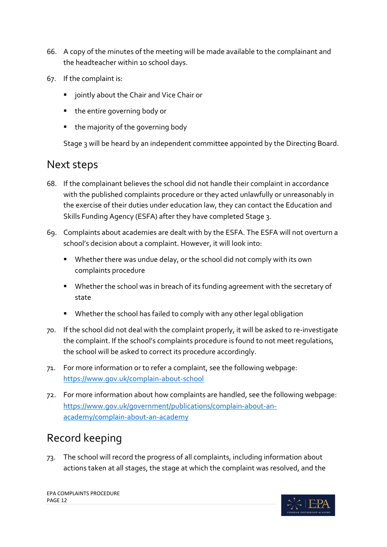- 66. A copy of the minutes of the meeting will be made available to the complainant and the headteacher within 10 school days.
- 67. If the complaint is:
	- **F** jointly about the Chair and Vice Chair or
	- the entire governing body or
	- the majority of the governing body

Stage 3 will be heard by an independent committee appointed by the Directing Board.

#### <span id="page-11-0"></span>Next steps

- 68. If the complainant believes the school did not handle their complaint in accordance with the published complaints procedure or they acted unlawfully or unreasonably in the exercise of their duties under education law, they can contact the Education and Skills Funding Agency (ESFA) after they have completed Stage 3.
- 69. Complaints about academies are dealt with by the ESFA. The ESFA will not overturn a school's decision about a complaint. However, it will look into:
	- **Whether there was undue delay, or the school did not comply with its own** complaints procedure
	- Whether the school was in breach of its funding agreement with the secretary of state
	- Whether the school has failed to comply with any other legal obligation
- 70. If the school did not deal with the complaint properly, it will be asked to re-investigate the complaint. If the school's complaints procedure is found to not meet regulations, the school will be asked to correct its procedure accordingly.
- 71. For more information or to refer a complaint, see the following webpage: <https://www.gov.uk/complain-about-school>
- 72. For more information about how complaints are handled, see the following webpage: [https://www.gov.uk/government/publications/complain-about-an](https://www.gov.uk/government/publications/complain-about-an-academy/complain-about-an-academy)[academy/complain-about-an-academy](https://www.gov.uk/government/publications/complain-about-an-academy/complain-about-an-academy)

### <span id="page-11-1"></span>Record keeping

73. The school will record the progress of all complaints, including information about actions taken at all stages, the stage at which the complaint was resolved, and the

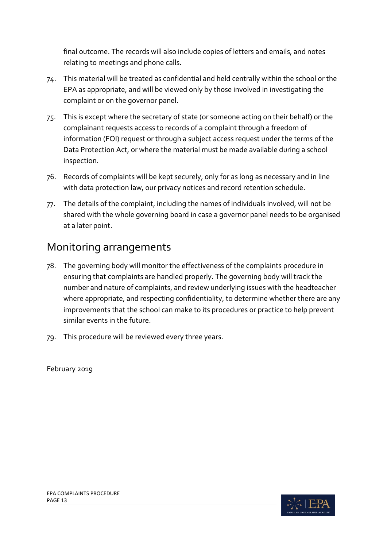final outcome. The records will also include copies of letters and emails, and notes relating to meetings and phone calls.

- 74. This material will be treated as confidential and held centrally within the school or the EPA as appropriate, and will be viewed only by those involved in investigating the complaint or on the governor panel.
- 75. This is except where the secretary of state (or someone acting on their behalf) or the complainant requests access to records of a complaint through a freedom of information (FOI) request or through a subject access request under the terms of the Data Protection Act, or where the material must be made available during a school inspection.
- 76. Records of complaints will be kept securely, only for as long as necessary and in line with data protection law, our privacy notices and record retention schedule.
- 77. The details of the complaint, including the names of individuals involved, will not be shared with the whole governing board in case a governor panel needs to be organised at a later point.

#### <span id="page-12-0"></span>Monitoring arrangements

- 78. The governing body will monitor the effectiveness of the complaints procedure in ensuring that complaints are handled properly. The governing body will track the number and nature of complaints, and review underlying issues with the headteacher where appropriate, and respecting confidentiality, to determine whether there are any improvements that the school can make to its procedures or practice to help prevent similar events in the future.
- 79. This procedure will be reviewed every three years.

February 2019

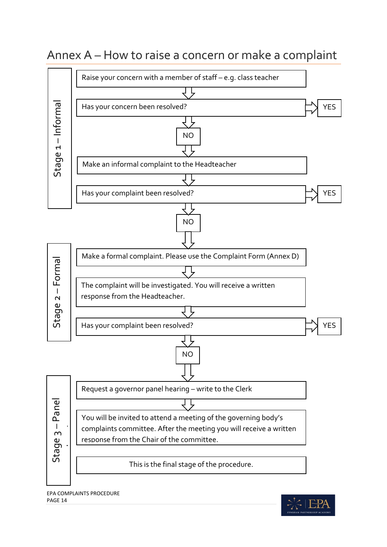# <span id="page-13-0"></span>Annex A – How to raise a concern or make a complaint



EPA COMPLAINTS PROCEDURE PAGE 14

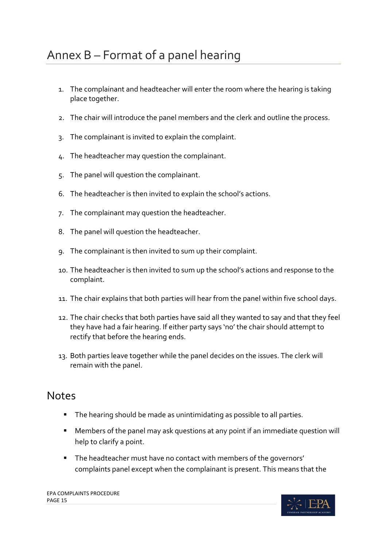- <span id="page-14-0"></span>1. The complainant and headteacher will enter the room where the hearing is taking place together.
- 2. The chair will introduce the panel members and the clerk and outline the process.
- 3. The complainant is invited to explain the complaint.
- 4. The headteacher may question the complainant.
- 5. The panel will question the complainant.
- 6. The headteacher is then invited to explain the school's actions.
- 7. The complainant may question the headteacher.
- 8. The panel will question the headteacher.
- 9. The complainant is then invited to sum up their complaint.
- 10. The headteacher is then invited to sum up the school's actions and response to the complaint.
- 11. The chair explains that both parties will hear from the panel within five school days.
- 12. The chair checks that both parties have said all they wanted to say and that they feel they have had a fair hearing. If either party says 'no' the chair should attempt to rectify that before the hearing ends.
- 13. Both parties leave together while the panel decides on the issues. The clerk will remain with the panel.

#### <span id="page-14-1"></span>**Notes**

- **The hearing should be made as unintimidating as possible to all parties.**
- Members of the panel may ask questions at any point if an immediate question will help to clarify a point.
- **The headteacher must have no contact with members of the governors'** complaints panel except when the complainant is present. This means that the

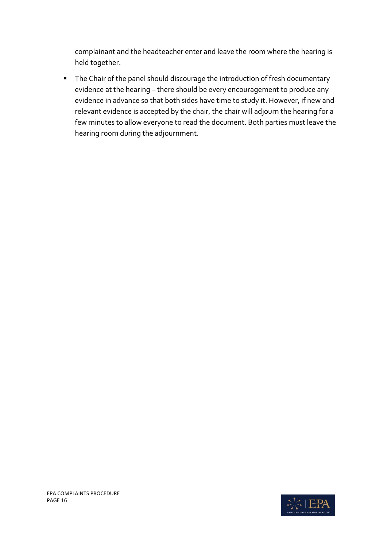complainant and the headteacher enter and leave the room where the hearing is held together.

**The Chair of the panel should discourage the introduction of fresh documentary** evidence at the hearing – there should be every encouragement to produce any evidence in advance so that both sides have time to study it. However, if new and relevant evidence is accepted by the chair, the chair will adjourn the hearing for a few minutes to allow everyone to read the document. Both parties must leave the hearing room during the adjournment.

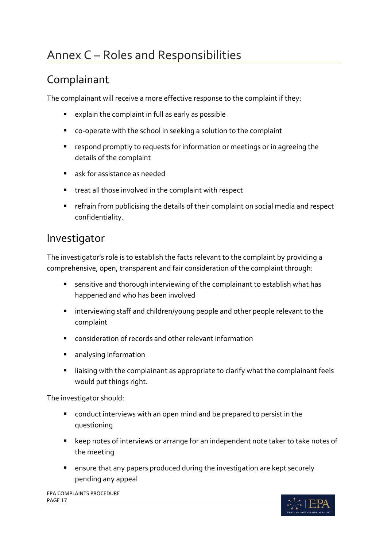# <span id="page-16-0"></span>Annex C – Roles and Responsibilities

### <span id="page-16-1"></span>Complainant

The complainant will receive a more effective response to the complaint if they:

- explain the complaint in full as early as possible
- co-operate with the school in seeking a solution to the complaint
- **F** respond promptly to requests for information or meetings or in agreeing the details of the complaint
- ask for assistance as needed
- **treat all those involved in the complaint with respect**
- refrain from publicising the details of their complaint on social media and respect confidentiality.

#### <span id="page-16-2"></span>Investigator

The investigator's role is to establish the facts relevant to the complaint by providing a comprehensive, open, transparent and fair consideration of the complaint through:

- sensitive and thorough interviewing of the complainant to establish what has happened and who has been involved
- **EXT** interviewing staff and children/young people and other people relevant to the complaint
- consideration of records and other relevant information
- **analysing information**
- **I** liaising with the complainant as appropriate to clarify what the complainant feels would put things right.

The investigator should:

- conduct interviews with an open mind and be prepared to persist in the questioning
- keep notes of interviews or arrange for an independent note taker to take notes of the meeting
- ensure that any papers produced during the investigation are kept securely pending any appeal

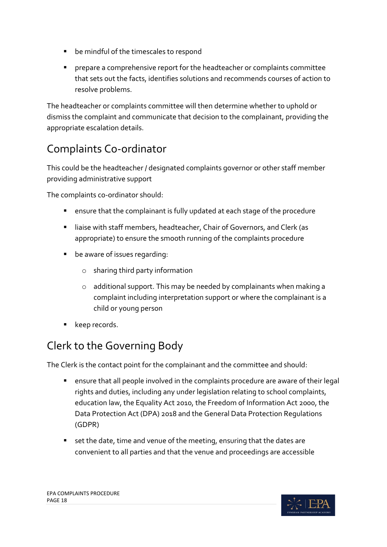- be mindful of the timescales to respond
- prepare a comprehensive report for the headteacher or complaints committee that sets out the facts, identifies solutions and recommends courses of action to resolve problems.

The headteacher or complaints committee will then determine whether to uphold or dismiss the complaint and communicate that decision to the complainant, providing the appropriate escalation details.

# <span id="page-17-0"></span>Complaints Co-ordinator

This could be the headteacher / designated complaints governor or other staff member providing administrative support

The complaints co-ordinator should:

- ensure that the complainant is fully updated at each stage of the procedure
- liaise with staff members, headteacher, Chair of Governors, and Clerk (as appropriate) to ensure the smooth running of the complaints procedure
- **•** be aware of issues regarding:
	- o sharing third party information
	- o additional support. This may be needed by complainants when making a complaint including interpretation support or where the complainant is a child or young person
- keep records.

# <span id="page-17-1"></span>Clerk to the Governing Body

The Clerk is the contact point for the complainant and the committee and should:

- ensure that all people involved in the complaints procedure are aware of their legal rights and duties, including any under legislation relating to school complaints, education law, the Equality Act 2010, the Freedom of Information Act 2000, the Data Protection Act (DPA) 2018 and the General Data Protection Regulations (GDPR)
- set the date, time and venue of the meeting, ensuring that the dates are convenient to all parties and that the venue and proceedings are accessible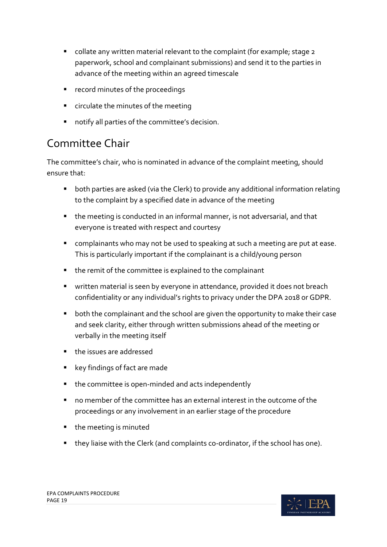- collate any written material relevant to the complaint (for example; stage 2 paperwork, school and complainant submissions) and send it to the parties in advance of the meeting within an agreed timescale
- **F** record minutes of the proceedings
- **EXEC** circulate the minutes of the meeting
- notify all parties of the committee's decision.

### <span id="page-18-0"></span>Committee Chair

The committee's chair, who is nominated in advance of the complaint meeting, should ensure that:

- both parties are asked (via the Clerk) to provide any additional information relating to the complaint by a specified date in advance of the meeting
- the meeting is conducted in an informal manner, is not adversarial, and that everyone is treated with respect and courtesy
- complainants who may not be used to speaking at such a meeting are put at ease. This is particularly important if the complainant is a child/young person
- the remit of the committee is explained to the complainant
- **The Value is in the value of the set of the set of the set of the set is exampled** it does not breach confidentiality or any individual's rights to privacy under the DPA 2018 or GDPR.
- **•** both the complainant and the school are given the opportunity to make their case and seek clarity, either through written submissions ahead of the meeting or verbally in the meeting itself
- **the issues are addressed**
- **EXEG Findings of fact are made**
- the committee is open-minded and acts independently
- no member of the committee has an external interest in the outcome of the proceedings or any involvement in an earlier stage of the procedure
- the meeting is minuted
- they liaise with the Clerk (and complaints co-ordinator, if the school has one).

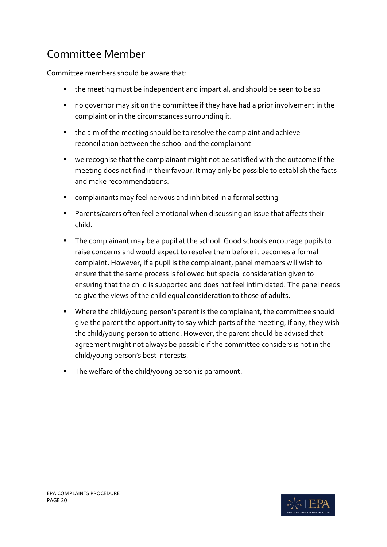# <span id="page-19-0"></span>Committee Member

Committee members should be aware that:

- the meeting must be independent and impartial, and should be seen to be so
- no governor may sit on the committee if they have had a prior involvement in the complaint or in the circumstances surrounding it.
- the aim of the meeting should be to resolve the complaint and achieve reconciliation between the school and the complainant
- we recognise that the complainant might not be satisfied with the outcome if the meeting does not find in their favour. It may only be possible to establish the facts and make recommendations.
- complainants may feel nervous and inhibited in a formal setting
- Parents/carers often feel emotional when discussing an issue that affects their child.
- The complainant may be a pupil at the school. Good schools encourage pupils to raise concerns and would expect to resolve them before it becomes a formal complaint. However, if a pupil is the complainant, panel members will wish to ensure that the same process is followed but special consideration given to ensuring that the child is supported and does not feel intimidated. The panel needs to give the views of the child equal consideration to those of adults.
- **Where the child/young person's parent is the complainant, the committee should** give the parent the opportunity to say which parts of the meeting, if any, they wish the child/young person to attend. However, the parent should be advised that agreement might not always be possible if the committee considers is not in the child/young person's best interests.
- **The welfare of the child/young person is paramount.**

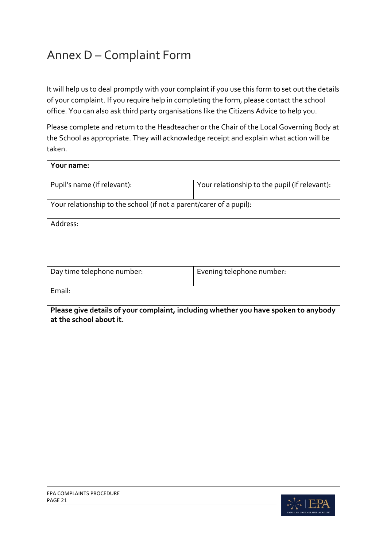# <span id="page-20-0"></span>Annex D – Complaint Form

It will help us to deal promptly with your complaint if you use this form to set out the details of your complaint. If you require help in completing the form, please contact the school office. You can also ask third party organisations like the Citizens Advice to help you.

Please complete and return to the Headteacher or the Chair of the Local Governing Body at the School as appropriate. They will acknowledge receipt and explain what action will be taken.

| Your name:                                                                                                     |                                                                     |  |  |
|----------------------------------------------------------------------------------------------------------------|---------------------------------------------------------------------|--|--|
| Pupil's name (if relevant):                                                                                    | Your relationship to the pupil (if relevant):                       |  |  |
|                                                                                                                | Your relationship to the school (if not a parent/carer of a pupil): |  |  |
| Address:                                                                                                       |                                                                     |  |  |
|                                                                                                                |                                                                     |  |  |
| Day time telephone number:                                                                                     | Evening telephone number:                                           |  |  |
| Email:                                                                                                         |                                                                     |  |  |
| Please give details of your complaint, including whether you have spoken to anybody<br>at the school about it. |                                                                     |  |  |
|                                                                                                                |                                                                     |  |  |
|                                                                                                                |                                                                     |  |  |
|                                                                                                                |                                                                     |  |  |
|                                                                                                                |                                                                     |  |  |
|                                                                                                                |                                                                     |  |  |
|                                                                                                                |                                                                     |  |  |